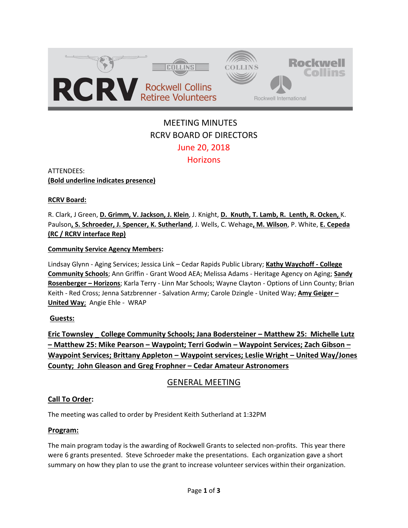

# MEETING MINUTES RCRV BOARD OF DIRECTORS June 20, 2018 **Horizons**

ATTENDEES: **(Bold underline indicates presence)** 

**RCRV Board:** 

R. Clark, J Green, **D. Grimm, V. Jackson, J. Klein**, J. Knight, **D. Knuth, T. Lamb, R. Lenth, R. Ocken,** K. Paulson**, S. Schroeder, J. Spencer, K. Sutherland**, J. Wells, C. Wehage**, M. Wilson**, P. White, **E. Cepeda (RC / RCRV interface Rep)**

#### **Community Service Agency Members:**

Lindsay Glynn - Aging Services; Jessica Link – Cedar Rapids Public Library; **Kathy Waychoff - College Community Schools**; Ann Griffin - Grant Wood AEA; Melissa Adams - Heritage Agency on Aging; **Sandy Rosenberger – Horizons**; Karla Terry - Linn Mar Schools; Wayne Clayton - Options of Linn County; Brian Keith - Red Cross; Jenna Satzbrenner - Salvation Army; Carole Dzingle - United Way; **Amy Geiger – United Way**; Angie Ehle - WRAP

#### **Guests:**

**Eric Townsley \_ College Community Schools; Jana Bodersteiner – Matthew 25: Michelle Lutz – Matthew 25: Mike Pearson – Waypoint; Terri Godwin – Waypoint Services; Zach Gibson – Waypoint Services; Brittany Appleton – Waypoint services; Leslie Wright – United Way/Jones County; John Gleason and Greg Frophner – Cedar Amateur Astronomers**

## GENERAL MEETING

#### **Call To Order:**

The meeting was called to order by President Keith Sutherland at 1:32PM

#### **Program:**

The main program today is the awarding of Rockwell Grants to selected non-profits. This year there were 6 grants presented. Steve Schroeder make the presentations. Each organization gave a short summary on how they plan to use the grant to increase volunteer services within their organization.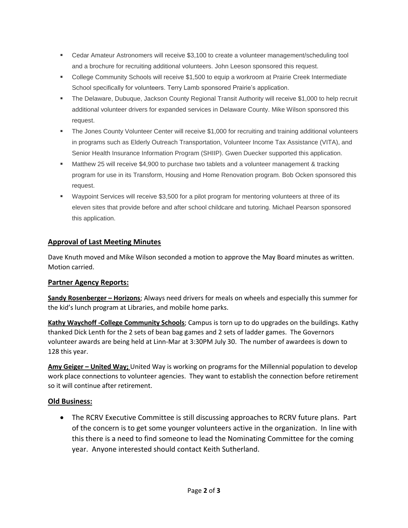- Cedar Amateur Astronomers will receive \$3,100 to create a volunteer management/scheduling tool and a brochure for recruiting additional volunteers. John Leeson sponsored this request.
- College Community Schools will receive \$1,500 to equip a workroom at Prairie Creek Intermediate School specifically for volunteers. Terry Lamb sponsored Prairie's application.
- The Delaware, Dubuque, Jackson County Regional Transit Authority will receive \$1,000 to help recruit additional volunteer drivers for expanded services in Delaware County. Mike Wilson sponsored this request.
- The Jones County Volunteer Center will receive \$1,000 for recruiting and training additional volunteers in programs such as Elderly Outreach Transportation, Volunteer Income Tax Assistance (VITA), and Senior Health Insurance Information Program (SHIIP). Gwen Duecker supported this application.
- Matthew 25 will receive \$4,900 to purchase two tablets and a volunteer management & tracking program for use in its Transform, Housing and Home Renovation program. Bob Ocken sponsored this request.
- Waypoint Services will receive \$3,500 for a pilot program for mentoring volunteers at three of its eleven sites that provide before and after school childcare and tutoring. Michael Pearson sponsored this application.

#### **Approval of Last Meeting Minutes**

Dave Knuth moved and Mike Wilson seconded a motion to approve the May Board minutes as written. Motion carried.

#### **Partner Agency Reports:**

**Sandy Rosenberger – Horizons**; Always need drivers for meals on wheels and especially this summer for the kid's lunch program at Libraries, and mobile home parks.

**Kathy Waychoff -College Community Schools**; Campus is torn up to do upgrades on the buildings. Kathy thanked Dick Lenth for the 2 sets of bean bag games and 2 sets of ladder games. The Governors volunteer awards are being held at Linn-Mar at 3:30PM July 30. The number of awardees is down to 128 this year.

**Amy Geiger – United Way;** United Way is working on programs for the Millennial population to develop work place connections to volunteer agencies. They want to establish the connection before retirement so it will continue after retirement.

#### **Old Business:**

• The RCRV Executive Committee is still discussing approaches to RCRV future plans. Part of the concern is to get some younger volunteers active in the organization. In line with this there is a need to find someone to lead the Nominating Committee for the coming year. Anyone interested should contact Keith Sutherland.